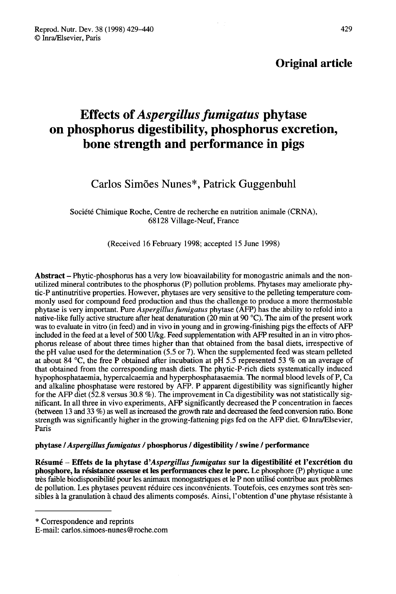### Original article

# Effects of Aspergillus fumigatus phytase on phosphorus digestibility, phosphorus excretion, bone strength and performance in pigs

### Carlos Simões Nunes\*, Patrick Guggenbuhl

Société Chimique Roche, Centre de recherche en nutrition animale (CRNA), 68128 Village-Neuf, France

(Received 16 February 1998; accepted 15 June 1998)

Abstract – Phytic-phosphorus has a very low bioavailability for monogastric animals and the nonutilized mineral contributes to the phosphorus (P) pollution problems. Phytases may ameliorate phytic-P antinutritive properties. However, phytases are very sensitive to the pelleting temperature commonly used for compound feed production and thus the challenge to produce a more thermostable phytase is very important. Pure Aspergillus fumigatus phytase (AFP) has the ability to refold into a native-like fully active structure after heat denaturation (20 min at 90 °C). The aim of the present work was to evaluate in vitro (in feed) and in vivo in young and in growing-finishing pigs the effects of AFP included in the feed at a level of 500 U/kg. Feed supplementation with AFP resulted in an in vitro phosphorus release of about three times higher than that obtained from the basal diets, irrespective of the pH value used for the determination (5.5 or 7). When the supplemented feed was steam pelleted at about 84 °C, the free P obtained after incubation at pH 5.5 represented 53 % on an average of that obtained from the corresponding mash diets. The phytic-P-rich diets systematically induced hypophosphataemia, hypercalcaemia and hyperphosphatasaemia. The normal blood levels of P, Ca and alkaline phosphatase were restored by AFP. P apparent digestibility was significantly higher for the AFP diet (52.8 versus 30.8 %). The improvement in Ca digestibility was not statistically significant. In all three in vivo experiments, AFP significantly decreased the P concentration in faeces (between 13 and 33 %) as well as increased the growth rate and decreased the feed conversion ratio. Bone strength was significantly higher in the growing-fattening pigs fed on the AFP diet. © Inra/Elsevier, Paris

#### phytase / Aspergillus fumigatus / phosphorus / digestibility / swine / performance

Résumé - Effets de la phytase d'Aspergillus fumigatus sur la digestibilité et l'excrétion du phosphore, la résistance osseuse et les performances chez le porc. Le phosphore (P) phytique a une très faible biodisponibilité pour les animaux monogastriques et le P non utilisé contribue aux problèmes de pollution. Les phytases peuvent réduire ces inconvénients. Toutefois, ces enzymes sont très sensibles à la granulation à chaud des aliments composés. Ainsi, l'obtention d'une phytase résistante à

\* Correspondence and reprints

E-mail: carlos.simoes-nunes@roche.com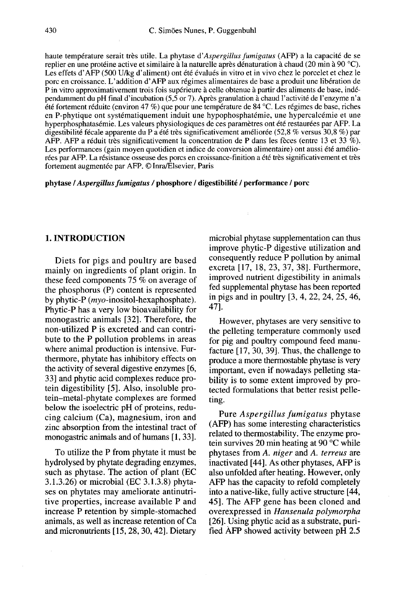haute température serait très utile. La phytase d'Aspergillus fumigatus (AFP) a la capacité de se replier en une protéine active et similaire à la naturelle après dénaturation à chaud (20 min à 90 °C). Les effets d'AFP (500 U/kg d'aliment) ont été évalués in vitro et in vivo chez le porcelet et chez le porc en croissance. L'addition d'AFP aux régimes alimentaires de base a produit une libération de P in vitro approximativement trois fois supérieure à celle obtenue à partir des aliments de base, indépendamment du pH final d'incubation (5,5 or 7). Après granulation à chaud l'activité de l'enzyme n'a été fortement réduite (environ 47 %) que pour une température de 84 °C. Les régimes de base, riches en P-phytique ont systématiquement induit une hypophosphatémie, une hypercalcémie et une hyperphosphatasémie. Les valeurs physiologiques de ces paramètres ont été restaurées par AFP. La digestibilité fécale apparente du P a été très significativement améliorée (52,8 % versus 30,8 %) par AFP. AFP a réduit très significativement la concentration de P dans les fèces (entre 13 et 33 %). Les performances (gain moyen quotidien et indice de conversion alimentaire) ont aussi été améliorées par AFP. La résistance osseuse des porcs en croissance-finition a été très significativement et très fortement augmentée par AFP. @ Inra/Elsevier, Paris

phytase / Aspergillus fumigatus / phosphore / digestibilité / performance / porc

#### 1. INTRODUCTION

Diets for pigs and poultry are based mainly on ingredients of plant origin. In these feed components 75 % on average of the phosphorus (P) content is represented by phytic-P (myo-inositol-hexaphosphate). Phytic-P has a very low bioavailability for monogastric animals [32]. Therefore, the non-utilized P is excreted and can contribute to the P pollution problems in areas where animal production is intensive. Furthermore, phytate has inhibitory effects on the activity of several digestive enzymes [6, 33] and phytic acid complexes reduce protein digestibility [5]. Also, insoluble protein-metal-phytate complexes are formed below the isoelectric pH of proteins, reducing calcium (Ca), magnesium, iron and zinc absorption from the intestinal tract of monogastric animals and of humans [1, 33].

To utilize the P from phytate it must be hydrolysed by phytate degrading enzymes, such as phytase. The action of plant (EC 3.1.3.26) or microbial (EC 3.1.3.8) phyta ses on phytates may ameliorate antinutritive properties, increase available P and increase P retention by simple-stomached animals, as well as increase retention of Ca and micronutrients [15, 28, 30, 42]. Dietary

microbial phytase supplementation can thus improve phytic-P digestive utilization and consequently reduce P pollution by animal excreta [17, 18, 23, 37, 38]. Furthermore, improved nutrient digestibility in animals fed supplemental phytase has been reported in pigs and in poultry [3, 4, 22, 24, 25, 46, 47].

However, phytases are very sensitive to the pelleting temperature commonly used for pig and poultry compound feed manufacture [17, 30, 39]. Thus, the challenge to produce a more thermostable phytase is very important, even if nowadays pelleting stability is to some extent improved by protected formulations that better resist pelleting.

Pure Aspergillus fumigatus phytase (AFP) has some interesting characteristics related to thermostability. The enzyme protein survives 20 min heating at 90 °C while phytases from A. niger and A. terreus are inactivated [44]. As other phytases, AFP is also unfolded after heating. However, only AFP has the capacity to refold completely into a native-like, fully active structure [44, 45]. The AFP gene has been cloned and overexpressed in Hansenula polymorpha [26]. Using phytic acid as a substrate, purified AFP showed activity between pH 2.5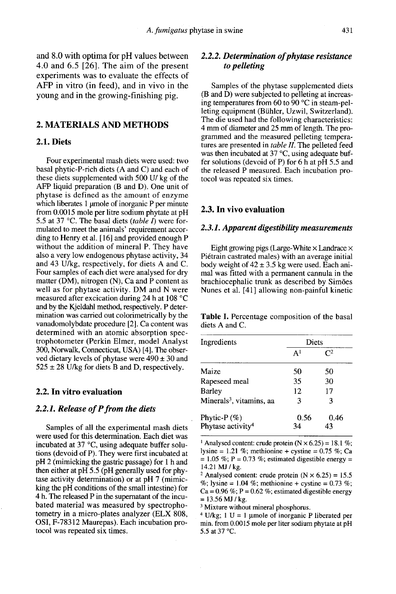and 8.0 with optima for pH values between 4.0 and 6.5 [26]. The aim of the present experiments was to evaluate the effects of AFP in vitro (in feed), and in vivo in the young and in the growing-finishing pig.

#### 2. MATERIALS AND METHODS

#### 2.1. Diets

Four experimental mash diets were used: two basal phytic-P-rich diets (A and C) and each of these diets supplemented with 500 U/ kg of the AFP liquid preparation (B and D). One unit of phytase is defined as the amount of enzyme which liberates 1 umole of inorganic P per minute from 0.0015 mole per litre sodium phytate at pH 5.5 at 37 °C. The basal diets (table I) were formulated to meet the animals' requirement according to Henry et al. [16] and provided enough P without the addition of mineral P. They have also a very low endogenous phytase activity, 34 and 43 U/kg, respectively, for diets A and C. matter ( $\overline{DM}$ ), nitrogen (N), Ca and P content as well as for phytase activity. DM and N were measured after excication during 24 h at 108 °C and by the Kjeldahl method, respectively. P determination was carried out colorimetrically by the vanadomolybdate procedure [2]. Ca content was determined with an atomic absorption spectrophotometer (Perkin Elmer, model Analyst 300, Norwalk, Connecticut, USA) [4]. The observed dietary levels of phytase were  $490 \pm 30$  and  $525 \pm 28$  U/kg for diets B and D, respectively.

#### 2.2. In vitro evaluation

#### 2.2.1. Release of P from the diets

Samples of all the experimental mash diets were used for this determination. Each diet was incubated at 37 °C, using adequate buffer solutions (devoid of P). They were first incubated at pH 2 (mimicking the gastric passage) for 1 h and then either at pH 5.5 (pH generally used for phy tase activity determination) or at pH 7 (mimicking the pH conditions of the small intestine) for 4 h. The released P in the supernatant of the incubated material was measured by spectrophotometry in a micro-plates analyzer (ELX 808, OSI, F-78312 Maurepas). Each incubation protocol was repeated six times.

#### 2.2.2. Determination of phytase resistance to pelleting

Samples of the phytase supplemented diets (B and D) were subjected to pelleting at increasing temperatures from 60 to 90 °C in steam-pelleting equipment (Buhler, Uzwil, Switzerland). The die used had the following characteristics: 4 mm of diameter and 25 mm of length. The programmed and the measured pelleting tempera tures are presented in *table II*. The pelleted feed was then incubated at 37 °C, using adequate buffer solutions (devoid of P) for  $6 \text{ h}$  at pH 5.5 and the released P measured. Each incubation protocol was repeated six times.

#### 2.3. In vivo evaluation

#### 2.3.1. Apparent digestibility measurements

Eight growing pigs (Large-White  $\times$  Landrace  $\times$ Piétrain castrated males) with an average initial body weight of  $42 \pm 3.5$  kg were used. Each animal was fitted with a permanent cannula in the brachiocephalic trunk as described by Sim6es Nunes et al. [41] allowing non-painful kinetic

Table I. Percentage composition of the basal diets A and C.

| Ingredients                                  | <b>Diets</b>   |                |
|----------------------------------------------|----------------|----------------|
|                                              | A <sup>1</sup> | $\mathsf{C}^2$ |
| Maize                                        | 50             | 50             |
| Rapeseed meal                                | 35             | 30             |
| Barlev                                       | 12             | 17             |
| Minerals <sup>3</sup> , vitamins, aa         | 3              | 3              |
| Phytic-P(%)<br>Phytase activity <sup>4</sup> | 0.56<br>34     | 0.46<br>43     |

<sup>1</sup> Analysed content: crude protein  $(N \times 6.25) = 18.1$  %: lysine = 1.21 %; methionine + cystine = 0.75 %; Ca = 1.05 %; P = 0.73 %; estimated digestible energy = 14.21 MJ / kg.

<sup>2</sup> Analysed content: crude protein ( $N \times 6.25$ ) = 15.5 %; lysine = 1.04 %; methionine + cystine = 0.73 %;  $Ca = 0.96\%$ ; P = 0.62 %; estimated digestible energy  $= 13.56$  MJ / kg.

<sup>3</sup> Mixture without mineral phosphorus.

<sup>4</sup> U/kg; 1 U = 1 µmole of inorganic P liberated per min. from 0.0015 mole per liter sodium phytate at pH 5.5 at 37 °C.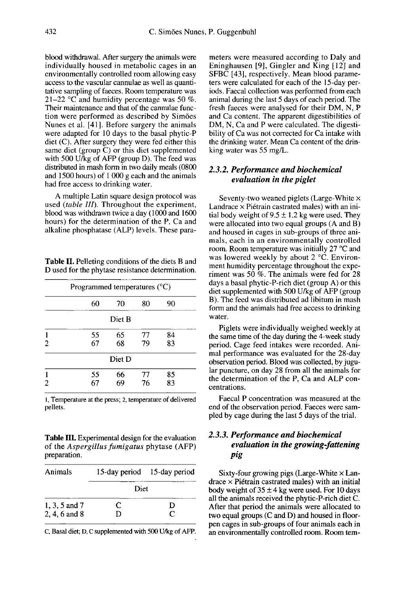blood withdrawal. After surgery the animals were individually housed in metabolic cages in an environmentally controlled room allowing easy access to the vascular cannulae as well as quantitative sampling of faeces. Room temperature was 21–22 °C and humidity percentage was 50 %. Their maintenance and that of the cannulae function were performed as described by Sim6es Nunes et al. [411. Before surgery the animals were adapted for 10 days to the basal phytic-P diet (C). After surgery they were fed either this same diet (group C) or this diet supplemented with 500 U/kg of AFP (group D). The feed was distributed in mash form in two daily meals (0800 and 1500 hours) of 1 000 g each and the animals had free access to drinking water.

A multiple Latin square design protocol was used (table III). Throughout the experiment, blood was withdrawn twice a day ( 1000 and 1600 hours) for the determination of the P, Ca and alkaline phosphatase (ALP) levels. These para-

Table II. Pelleting conditions of the diets B and D used for the phytase resistance determination.

|   | Programmed temperatures $(^{\circ}C)$ |          |          |          |  |
|---|---------------------------------------|----------|----------|----------|--|
|   | 60                                    | 70       | 80       | 90       |  |
|   |                                       | Diet B   |          |          |  |
| 2 | 55<br>67                              | 65<br>68 | 77<br>79 | 84<br>83 |  |
|   |                                       | Diet D   |          |          |  |
| 2 | 55<br>67                              | 66<br>69 | 77<br>76 | 85<br>83 |  |

1, Temperature at the press; 2, temperature of delivered pellets.

Table III. Experimental design for the evaluation of the Aspergillus fumigatus phytase (AFP) preparation.

| Animals                        |        | 15-day period 15-day period |
|--------------------------------|--------|-----------------------------|
|                                | Diet   |                             |
| 1, 3, 5 and 7<br>2, 4, 6 and 8 | C<br>D | D<br>C                      |

C, Basal diet; D, C supplemented with 500 U/kg of AFP.

meters were measured according to Daly and Eninghausen [9], Gingler and King [12] and SFBC [43], respectively. Mean blood parame ters were calculated for each of the 15-day periods. Faecal collection was performed from each animal during the last 5 days of each period. The fresh faeces were analysed for their DM, N, P and Ca content. The apparent digestibilities of DM, N, Ca and P were calculated. The digestibility of Ca was not corrected for Ca intake with the drinking water. Mean Ca content of the drinking water was 55 mg/L.

#### 2.3.2. Performance and biochemical evaluation in the piglet

Seventy-two weaned piglets (Large-White x Landrace  $\times$  Piétrain castrated males) with an initial body weight of  $9.5 \pm 1.2$  kg were used. They were allocated into two equal groups (A and B) and housed in cages in sub-groups of three animals, each in an environmentally controlled room. Room temperature was initially 27 °C and was lowered weekly by about  $2 \text{ }^{\circ}$ C. Environment humidity percentage throughout the experiment was 50 %. The animals were fed for 28 days a basal phytic-P-rich diet (group A) or this diet supplemented with 500 U/kg of AFP (group B). The feed was distributed ad libitum in mash form and the animals had free access to drinking water.

Piglets were individually weighed weekly at the same time of the day during the 4-week study period. Cage feed intakes were recorded. Animal performance was evaluated for the 28-day observation period. Blood was collected, by jugular puncture, on day 28 from all the animals for the determination of the P, Ca and ALP concentrations.

Faecal P concentration was measured at the end of the observation period. Faeces were sampled by cage during the last 5 days of the trial.

#### 2.3.3. Performance and biochemical evaluation in the growing fattening pig

Sixty-four growing pigs (Large-White  $\times$  Lan $drace \times P$ iétrain castrated males) with an initial body weight of  $35 \pm 4$  kg were used. For 10 days all the animals received the phytic-P-rich diet C. After that period the animals were allocated to two equal groups (C and D) and housed in floorpen cages in sub-groups of four animals each in an environmentally controlled room. Room tem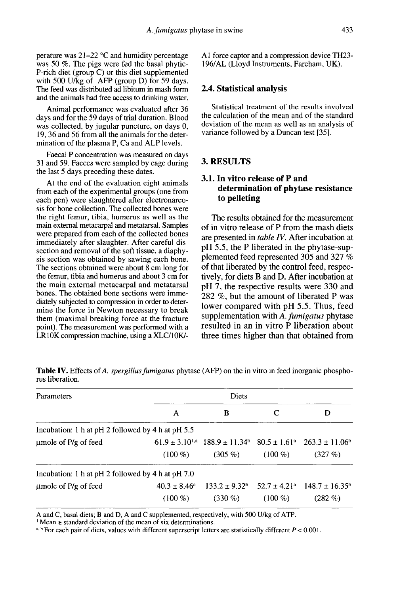perature was 21-22 °C and humidity percentage was 50 %. The pigs were fed the basal phytic-P-rich diet (group C) or this diet supplemented with 500 U/kg of AFP (group D) for 59 days. The feed was distributed ad libitum in mash form and the animals had free access to drinking water.

Animal performance was evaluated after 36 days and for the 59 days of trial duration. Blood was collected, by jugular puncture, on days 0, 19, 36 and 56 from all the animals for the determination of the plasma P, Ca and ALP levels.

Faecal P concentration was measured on days 31 and 59. Faeces were sampled by cage during the last 5 days preceding these dates.

At the end of the evaluation eight animals from each of the experimental groups (one from each pen) were slaughtered after electronarcosis for bone collection. The collected bones were the right femur, tibia, humerus as well as the main external metacarpal and metatarsal. Samples were prepared from each of the collected bones immediately after slaughter. After careful dissection and removal of the soft tissue, a diaphysis section was obtained by sawing each bone. The sections obtained were about 8 cm long for the femur, tibia and humerus and about 3 cm for the main external metacarpal and metatarsal bones. The obtained bone sections were immediately subjected to compression in order to determine the force in Newton necessary to break them (maximal breaking force at the fracture point). The measurement was performed with a LR10K compression machine, using a XLC/10K/- A I force captor and a compression device TH23- 196/AL (Lloyd Instruments, Fareham, UK).

#### 2.4. Statistical analysis

Statistical treatment of the results involved the calculation of the mean and of the standard deviation of the mean as well as an analysis of variance followed by a Duncan test [35].

#### 3. RESULTS

#### 3.1. In vitro release of P and determination of phytase resistance to pelleting

The results obtained for the measurement of in vitro release of P from the mash diets are presented in *table IV*. After incubation at pH 5.5, the P liberated in the phytase-supplemented feed represented 305 and 327 % of that liberated by the control feed, respectively, for diets B and D. After incubation at pH 7, the respective results were 330 and 282 %, but the amount of liberated P was lower compared with pH 5.5. Thus, feed supplementation with A. fumigatus phytase resulted in an in vitro P liberation about three times higher than that obtained from

| Parameters                                        |                                | Diets                                                                                              |           |                                                                           |  |
|---------------------------------------------------|--------------------------------|----------------------------------------------------------------------------------------------------|-----------|---------------------------------------------------------------------------|--|
|                                                   | A                              | B                                                                                                  | C         | D                                                                         |  |
| Incubation: 1 h at pH 2 followed by 4 h at pH 5.5 |                                |                                                                                                    |           |                                                                           |  |
| umole of $P/g$ of feed                            | $(100\%)$                      | $61.9 \pm 3.10^{1,a}$ $188.9 \pm 11.34^{b}$ $80.5 \pm 1.61^{a}$ $263.3 \pm 11.06^{b}$<br>$(305\%)$ | $(100\%)$ | $(327 \%)$                                                                |  |
| Incubation: 1 h at pH 2 followed by 4 h at pH 7.0 |                                |                                                                                                    |           |                                                                           |  |
| $\mu$ mole of P/g of feed                         | $40.3 \pm 8.46^a$<br>$(100\%)$ | $133.2 \pm 9.32^b$<br>$(330\%)$                                                                    | $(100\%)$ | $52.7 \pm 4.21$ <sup>a</sup> $148.7 \pm 16.35$ <sup>b</sup><br>$(282\% )$ |  |

Table IV. Effects of A. spergillus fumigatus phytase (AFP) on the in vitro in feed inorganic phosphorus liberation.

A and C, basal diets; B and D, A and C supplemented, respectively, with 500 U/kg of ATP.

 $1$  Mean  $\pm$  standard deviation of the mean of six determinations.

a.b For each pair of diets, values with different superscript letters are statistically different  $P < 0.001$ .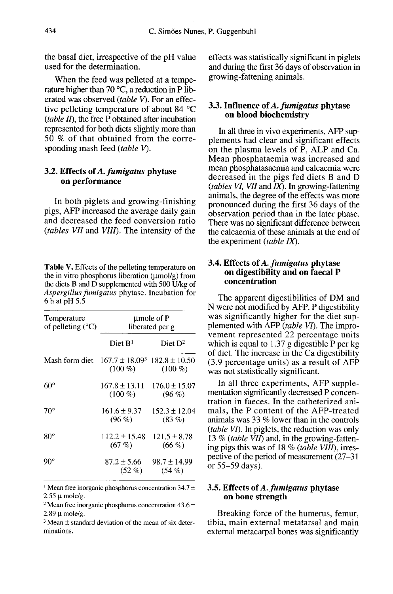the basal diet, irrespective of the pH value used for the determination.

When the feed was pelleted at a tempe rature higher than 70  $\degree$ C, a reduction in P liberated was observed (table V). For an effective pelleting temperature of about 84 °C (table II), the free P obtained after incubation represented for both diets slightly more than 50 % of that obtained from the corresponding mash feed (table V).

#### 3.2. Effects of A. fumigatus phytase on performance

In both piglets and growing-finishing pigs, AFP increased the average daily gain and decreased the feed conversion ratio (tables VII and VIII). The intensity of the

Table V. Effects of the pelleting temperature on the in vitro phosphorus liberation  $(\mu \text{mol/g})$  from the diets B and D supplemented with 500 U/kg of Aspergillus fumigatus phytase. Incubation for 6 h at pH 5.5

| Temperature<br>of pelleting $(^{\circ}C)$            | umole of P<br>liberated per g  |                               |  |  |
|------------------------------------------------------|--------------------------------|-------------------------------|--|--|
|                                                      | Diet B <sup>1</sup>            | Diet $D^2$                    |  |  |
| Mash form diet $167.7 \pm 18.09^3$ 182.8 $\pm$ 10.50 | $(100\%)$                      | $(100\%)$                     |  |  |
| $60^\circ$                                           | $167.8 \pm 13.11$<br>$(100\%)$ | $176.0 \pm 15.07$<br>$(96\%)$ |  |  |
| $70^{\circ}$                                         | $161.6 \pm 9.37$<br>$(96\%)$   | $152.3 \pm 12.04$<br>$(83\%)$ |  |  |
| $80^{\circ}$                                         | $112.2 + 15.48$<br>(67%)       | $121.5 + 8.78$<br>$(66\%)$    |  |  |
| $90^{\circ}$                                         | $87.2 \pm 5.66$<br>$(52 \%)$   | $98.7 \pm 14.99$<br>$(54\%)$  |  |  |

<sup>1</sup> Mean free inorganic phosphorus concentration 34.7  $\pm$  $2.55 \mu$  mole/g.

<sup>2</sup> Mean free inorganic phosphorus concentration  $43.6 \pm$  $2.89 \text{ u mole/g.}$ 

 $3$  Mean  $\pm$  standard deviation of the mean of six determinations.

effects was statistically significant in piglets and during the first 36 days of observation in growing-fattening animals.

# 3.3. Influence of A. fumigatus phytase on blood biochemistry

In all three in vivo experiments, AFP supplements had clear and significant effects on the plasma levels of P, ALP and Ca. Mean phosphataemia was increased and mean phosphatasaemia and calcaemia were decreased in the pigs fed diets B and D (*tables VI*, *VII* and  $\overline{IX}$ ). In growing-fattening animals, the degree of the effects was more pronounced during the first 36 days of the observation period than in the later phase. There was no significant difference between the calcaemia of these animals at the end of the experiment *(table IX)*.

## 3.4. Effects of A. *fumigatus* phytase<br>on digestibility and on faecal P concentration

The apparent digestibilities of DM and<br>N were not modified by AFP. P digestibility was significantly higher for the diet supplemented with AFP (*table VI*). The impro-<br>vement represented 22 percentage units which is equal to 1.37 g digestible  $\overline{P}$  per kg of diet. The increase in the Ca digestibility (3.9 percentage units) as a result of AFP was not statistically significant.

In all three experiments, AFP supplementation significantly decreased P concentration in faeces. In the catheterized animals, the P content of the AFP-treated animals was 33 % lower than in the controls (table VI). In piglets, the reduction was only 13 % (table  $\overline{VII}$ ) and, in the growing-fattening pigs this was of 18 % (table VIII), irrespective of the period of measurement (27–31 or 55-59 days).

# 3.5. Effects of A. fumigatus phytase on bone strength

Breaking force of the humerus, femur, tibia, main external metatarsal and main external metacarpal bones was significantly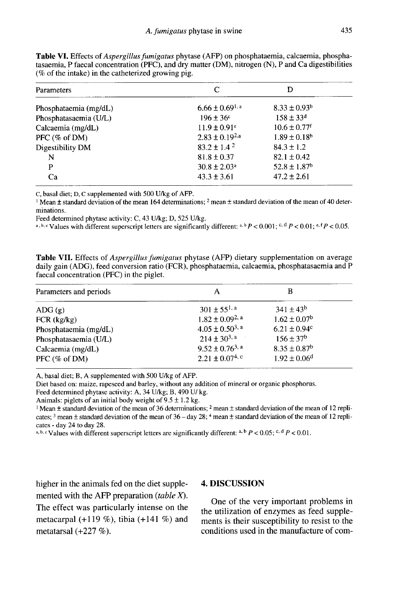| C                            | D                            |
|------------------------------|------------------------------|
| $6.66 \pm 0.69^{1, a}$       | $8.33 \pm 0.93^b$            |
| $196 \pm 36^{\circ}$         | $158 \pm 33$ <sup>d</sup>    |
| $11.9 \pm 0.91^e$            | $10.6 \pm 0.77$ <sup>f</sup> |
| $2.83 \pm 0.19^{2,a}$        | $1.89 \pm 0.18$ <sup>b</sup> |
| $83.2 \pm 1.4^2$             | $84.3 + 1.2$                 |
| $81.8 \pm 0.37$              | $82.1 \pm 0.42$              |
| $30.8 \pm 2.03$ <sup>a</sup> | $52.8 \pm 1.87$ <sup>b</sup> |
| $43.3 \pm 3.61$              | $47.2 \pm 2.61$              |
|                              |                              |

Table VI, Effects of Aspergillus fumigatus phytase (AFP) on phosphataemia, calcaemia, phosphatasaemia, P faecal concentration (PFC), and dry matter (DM), nitrogen (N), P and Ca digestibilities  $(\%$  of the intake) in the catheterized growing pig.

C, basal diet; D, C supplemented with 500 U/kg of AFP.

<sup>1</sup> Mean  $\pm$  standard deviation of the mean 164 determinations; <sup>2</sup> mean  $\pm$  standard deviation of the mean of 40 determinations.

Feed determined phytase activity: C, 43 U/kg; D, 525 U/kg.

a, b, c Values with different superscript letters are significantly different: a, b  $P < 0.001$ ; c, d  $P < 0.01$ ; e, f  $P < 0.05$ .

Table VII. Effects of *Aspergillus fumigatus* phytase (AFP) dietary supplementation on average daily gain (ADG), feed conversion ratio (FCR), phosphataemia, calcaemia, phosphatasaemia and P faecal concentration (PFC) in the piglet.

| А                       | В                            |  |
|-------------------------|------------------------------|--|
| $301 \pm 55^{1, a}$     | $341 \pm 43^b$               |  |
| $1.82 \pm 0.09^{2, a}$  | $1.62 \pm 0.07^{\rm b}$      |  |
| $4.05 \pm 0.50^{3}$ , a | $6.21 \pm 0.94$ <sup>c</sup> |  |
| $214 \pm 30^{3}$ , a    | $156 \pm 37^b$               |  |
| $9.52 \pm 0.76^{3}$ , a | $8.35 \pm 0.87^b$            |  |
| $2.21 \pm 0.07^{4,c}$   | $1.92 \pm 0.06$ <sup>d</sup> |  |
|                         |                              |  |

A, basal diet; B, A supplemented with 500 U/kg of AFP.

Diet based on: maize, rapeseed and barley, without any addition of mineral or organic phosphorus.

Feed determined phytase activity: A, 34 U/kg; B, 490 U/kg.

Animals: piglets of an initial body weight of  $9.5 \pm 1.2$  kg.

<sup>1</sup> Mean  $\pm$  standard deviation of the mean of 36 determinations; <sup>2</sup> mean  $\pm$  standard deviation of the mean of 12 replicates;  $3$  mean  $\pm$  standard deviation of the mean of 36 – day 28;  $4$  mean  $\pm$  standard deviation of the mean of 12 replicates - day 24 to day 28.

a, b, c Values with different superscript letters are significantly different: a, b  $P < 0.05$ ; c, d  $P < 0.01$ .

higher in the animals fed on the diet supplemented with the AFP preparation (table  $X$ ). The effect was particularly intense on the metacarpal  $(+119\%)$ , tibia  $(+141\%)$  and metatarsal  $(+227\%).$ 

#### **4. DISCUSSION**

One of the very important problems in the utilization of enzymes as feed supplements is their susceptibility to resist to the conditions used in the manufacture of com-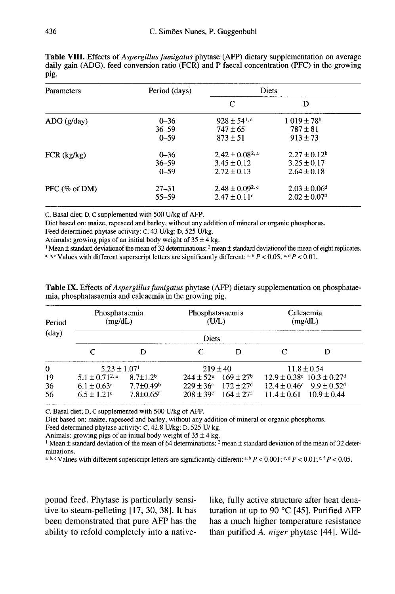| Parameters               | Period (days)                     | <b>Diets</b>                                                  |                                                              |  |
|--------------------------|-----------------------------------|---------------------------------------------------------------|--------------------------------------------------------------|--|
|                          |                                   | C                                                             | D                                                            |  |
| ADG(g/day)               | $0 - 36$<br>$36 - 59$<br>$0 - 59$ | $928 \pm 54$ <sup>1, a</sup><br>$747 \pm 65$<br>$873 \pm 51$  | $1.019 \pm 78$ <sup>b</sup><br>$787 \pm 81$<br>$913 \pm 73$  |  |
| $FCR$ (kg/kg)            | $0 - 36$<br>$36 - 59$<br>$0 - 59$ | $2.42 \pm 0.08^{2}$ , a<br>$3.45 \pm 0.12$<br>$2.72 \pm 0.13$ | $2.27 \pm 0.12^b$<br>$3.25 \pm 0.17$<br>$2.64 \pm 0.18$      |  |
| PFC $(\% \text{ of DM})$ | $27 - 31$<br>55-59                | $2.48 \pm 0.09^{2,c}$<br>$2.47 \pm 0.11$ °                    | $2.03 \pm 0.06$ <sup>d</sup><br>$2.02 \pm 0.07$ <sup>d</sup> |  |

Table VIII. Effects of Aspergillus fumigatus phytase (AFP) dietary supplementation on average daily gain (ADG), feed conversion ratio (FCR) and P faecal concentration (PFC) in the growing pig.

C. Basal diet: D. C supplemented with 500 U/kg of AFP.

Diet based on: maize, rapeseed and barley, without any addition of mineral or organic phosphorus.

Feed determined phytase activity: C, 43 U/kg; D, 525 U/kg.

Animals: growing pigs of an initial body weight of  $35 \pm 4$  kg.

<sup>1</sup> Mean  $\pm$  standard deviation f the mean of 32 determinations; <sup>2</sup> mean  $\pm$  standard deviation of the mean of eight replicates. a, b, c Values with different superscript letters are significantly different: a, b  $P < 0.05$ ; c, d  $P < 0.01$ .

| Period   | Phosphataemia<br>(mg/dL)     |                             | Phosphatasaemia<br>(UL) |                           | Calcaemia<br>(mg/dL)                           |  |
|----------|------------------------------|-----------------------------|-------------------------|---------------------------|------------------------------------------------|--|
| (day)    |                              |                             | Diets                   |                           |                                                |  |
|          |                              |                             |                         |                           |                                                |  |
| $\theta$ | $5.23 \pm 1.07$ <sup>1</sup> |                             | $219 \pm 40$            |                           | $11.8 \pm 0.54$                                |  |
| 19       | $5.1 \pm 0.71^{2, a}$        | $8.7 + 1.2b$                | $244 \pm 52^{\circ}$    | $169 + 27b$               | $12.9 \pm 0.38$ c $10.3 \pm 0.27$ <sup>d</sup> |  |
| 36       | $6.1 \pm 0.63^a$             | $7.7 \pm 0.49$ <sup>b</sup> | $229 \pm 36^{\circ}$    | $172 \pm 27$ <sup>d</sup> | $12.4 \pm 0.46^{\circ}$ 9.9 $\pm 0.52^{\circ}$ |  |
| 56       | $6.5 \pm 1.21$ <sup>e</sup>  | $7.8 + 0.65$ f              | $208 \pm 39^{\circ}$    | $164 \pm 27$ <sup>f</sup> | $11.4 \pm 0.61$ $10.9 \pm 0.44$                |  |

**Table IX.** Effects of *Aspergillus fumigatus* phytase (AFP) dietary supplementation on phosphataemia, phosphatasaemia and calcaemia in the growing pig.

C, Basal diet; D, C supplemented with 500 U/kg of AFP.

Diet based on: maize, rapeseed and barley, without any addition of mineral or organic phosphorus.

Feed determined phytase activity: C, 42.8 U/kg; D, 525 U/kg.

Animals: growing pigs of an initial body weight of  $35 \pm 4$  kg.

<sup>1</sup> Mean  $\pm$  standard deviation of the mean of 64 determinations; <sup>2</sup> mean  $\pm$  standard deviation of the mean of 32 determinations.

a, b, c Values with different superscript letters are significantly different: a, b  $P < 0.001$ ; c, d  $P < 0.01$ ; c, f  $P < 0.05$ .

pound feed. Phytase is particularly sensitive to steam-pelleting [17, 30, 38]. It has been demonstrated that pure AFP has the ability to refold completely into a nativelike, fully active structure after heat denaturation at up to 90 °C [45]. Purified AFP has a much higher temperature resistance than purified A. niger phytase [44]. Wild-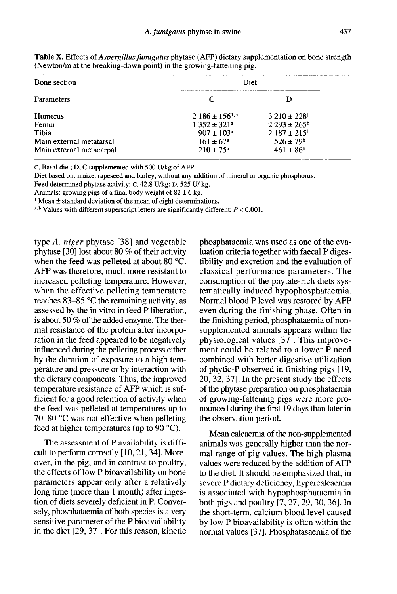| Bone section             |                         | Diet                        |  |  |
|--------------------------|-------------------------|-----------------------------|--|--|
| <b>Parameters</b>        | C                       |                             |  |  |
| <b>Humerus</b>           | $2186 \pm 156^{1, a}$   | $3210 \pm 228$ <sup>b</sup> |  |  |
| Femur                    | $1352 \pm 321^a$        | $2.293 \pm 265^{\rm b}$     |  |  |
| Tibia                    | $907 \pm 103^a$         | $2187 \pm 215^{\circ}$      |  |  |
| Main external metatarsal | $161 + 67$ <sup>a</sup> | $526 \pm 79$ <sup>b</sup>   |  |  |
| Main external metacarpal | $210 \pm 75^{\circ}$    | $461 \pm 86^b$              |  |  |

Table X. Effects of *Aspergillus fumigatus* phytase (AFP) dietary supplementation on bone strength (Newton/m at the breaking-down point) in the growing-fattening pig.

C, Basal diet; D, C supplemented with 500 U/kg of AFP.

Diet based on: maize, rapeseed and barley, without any addition of mineral or organic phosphorus.

Feed determined phytase activity: C, 42.8 U/kg; D, 525 U/kg.

Animals: growing pigs of a final body weight of  $82 \pm 6$  kg.

 $1$  Mean  $\pm$  standard deviation of the mean of eight determinations.

a, b Values with different superscript letters are significantly different:  $P < 0.001$ .

type A. niger phytase [38] and vegetable phytase [30] lost about 80 % of their activity when the feed was pelleted at about 80 °C. AFP was therefore, much more resistant to increased pelleting temperature. However, when the effective pelleting temperature reaches 83-85 °C the remaining activity, as assessed by the in vitro in feed P liberation, is about 50 % of the added enzyme. The thermal resistance of the protein after incorporation in the feed appeared to be negatively influenced during the pelleting process either by the duration of exposure to a high temperature and pressure or by interaction with the dietary components. Thus, the improved temperature resistance of AFP which is sufficient for a good retention of activity when the feed was pelleted at temperatures up to 70-80 °C was not effective when pelleting feed at higher temperatures (up to 90 °C).

The assessment of P availability is difficult to perform correctly [10, 21, 34]. Moreover, in the pig, and in contrast to poultry, the effects of low P bioavailability on bone parameters appear only after a relatively long time (more than 1 month) after ingestion of diets severely deficient in P. Conversely, phosphataemia of both species is a very sensitive parameter of the P bioavailability in the diet [29, 37]. For this reason, kinetic phosphataemia was used as one of the evaluation criteria together with faecal P digestibility and excretion and the evaluation of classical performance parameters. The consumption of the phytate-rich diets systematically induced hypophosphataemia. Normal blood P level was restored by AFP even during the finishing phase. Often in the finishing period, phosphataemia of nonsupplemented animals appears within the physiological values [37]. This improve ment could be related to a lower P need combined with better digestive utilization of phytic-P observed in finishing pigs [19, 20, 32, 37]. In the present study the effects of the phytase preparation on phosphataemia of growing-fattening pigs were more pronounced during the first I9 days than later in the observation period.

Mean calcaemia of the non-supplemented animals was generally higher than the normal range of pig values. The high plasma values were reduced by the addition of AFP to the diet. It should be emphasized that, in severe P dietary deficiency, hypercalcaemia is associated with hypophosphataemia in both pigs and poultry [7, 27, 29, 30, 36]. In the short-term, calcium blood level caused by low P bioavailability is often within the normal values [37]. Phosphatasaemia of the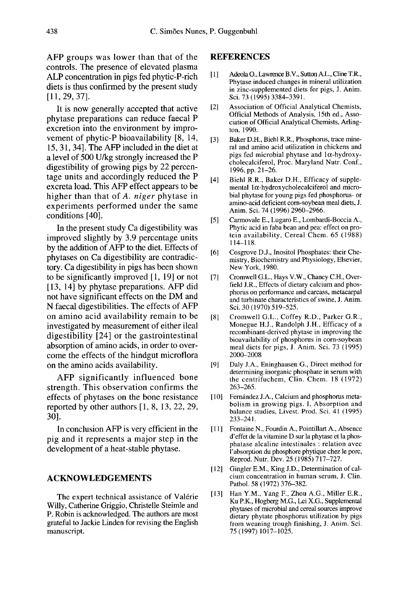AFP groups was lower than that of the controls. The presence of elevated plasma ALP concentration in pigs fed phytic-P-rich diets is thus confirmed by the present study [11, 29, 37].

It is now generally accepted that active phytase preparations can reduce faecal P excretion into the environment by impro vement of phytic-P bioavailability [8, 14, 15, 31, 34]. The AFP included in the diet at a level of 500 U/kg strongly increased the P digestibility of growing pigs by 22 percentage units and accordingly reduced the P excreta load. This AFP effect appears to be higher than that of A. niger phytase in experiments performed under the same conditions [40].

In the present study Ca digestibility was improved slightly by 3.9 percentage units by the addition of AFP to the diet. Effects of phytases on Ca digestibility are contradictory. Ca digestibility in pigs has been shown to be significantly improved [l, 19] or not [13, 14] by phytase preparations. AFP did not have significant effects on the DM and N faecal digestibilities. The effects of AFP on amino acid availability remain to be investigated by measurement of either ileal digestibility [24] or the gastrointestinal absorption of amino acids, in order to overcome the effects of the hindgut microflora on the amino acids availability.

AFP significantly influenced bone strength. This observation confirms the effects of phytases on the bone resistance reported by other authors [1, 8, 13, 22, 29, 30].

In conclusion AFP is very efficient in the pig and it represents a major step in the development of a heat-stable phytase.

#### ACKNOWLEDGEMENTS

The expert technical assistance of Valérie Willy, Catherine Griggio, Christelle Steimle and P. Robin is acknowledged. The authors are most grateful to Jackie Linden for revising the English manuscript.

#### **REFERENCES**

- [1] ] Adeola 0., Lawrence B.V., Sutton A.L., Cline T.R., Phytase induced changes in mineral utilization in zinc-supplemented diets for pigs, J. Anim. Sci. 73 (1995) 3384-3391.
- [2] Association of Official Analytical Chemists, Official Methods of Analysis, 15th ed., Association of Official Analytical Chemists, Arlington, 1990.
- [3] Baker D.H., Biehl R.R., Phosphorus, trace mineral and amino acid utilization in chickens and pigs fed microbial phytase and  $1\alpha$ -hydroxycholecalciferol, Proc. Maryland Nutr. Conf., 1996, pp. 21-26.
- [4] Biehl R.R., Baker D.H., Efficacy of supple mental  $1\alpha$ -hydroxycholecalciferol and microbial phytase for young pigs fed phosphorus- or amino-acid deficient corn-soybean meal diets, J. Anim. Sci. 74 (1996) 2960-2966.
- [5] Carmovale E., Lugaro E., Lombardi-Boccia A., Phytic acid in faba bean and pea: effect on protein availability, Cereal Chem. 65 (1988) I 14-118.
- [6] Cosgrove D.J., Inositol Phosphates: their Chemistry, Biochemistry and Physiology, Elsevier, New York, 1980.
- [7] Cromwell G.L., Hays V.W., Chaney C.H., Overfield J.R., Effects of dietary calcium and phosphorus on performance and carcass, metacarpal and turbinate characteristics of swine, J. Anim. Sci. 30 (1970) 519-525.
- [8] Cromwell G.L., Coffey R.D., Parker G.R., Monegue H.J., Randolph J.H., Efficacy of a recombinant-derived phytase in improving the bioavailability of phosphorus in corn-soybean meal diets for pigs, J. Anim. Sci. 73 (1995) 2000-2008
- [9] Daly J.A., Eninghausen G., Direct method for determining inorganic phosphate in serum with the centrifuchem, Clin. Chem. 18 (1972) 263-265.
- [10] Fernández J.A., Calcium and phosphorus metabolism in growing pigs. I. Absorption and balance studies, Livest. Prod. Sci. 41 (1995) 233-241.
- [11] Fontaine N., Fourdin A., Pointillart A., Absence d'effet de la vitamine D sur la phytase et la phosphatase alcaline intestinales : relation avec I'absorption du phosphore phytique chez le porc, Reprod. Nutr. Dev. 25 (1985) 717-727.
- [12] Gingler E.M., King J.D., Determination of calcium concentration in human serum, J. Clin. Pathol. 58 (1972) 376-382.
- [13] Han Y.M., Yang F., Zhou A.G., Miller E.R., Ku P.K., Hogberg M.G., Lei X.G., Supplemental phytases of microbial and cereal sources improve dietary phytate phosphorus utilization by pigs from weaning trough finishing, J. Anim. Sci. 75(1997)1017-1025.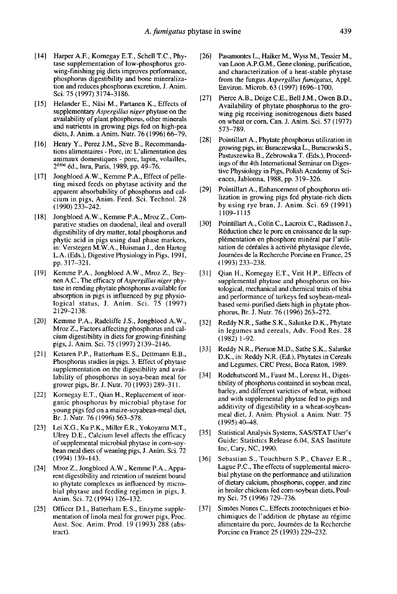- [ 14] Harper A.F., Kornegay E.T., Schell T.C., Phy tase supplementation of low-phosphorus growing-finishing pig diets improves performance, phosphorus digestibility and bone mineralization and reduces phosphorus excretion, J. Anim. Sci. 75 (1997) 3174-3186.
- [15] Helander E., Näsi M., Partanen K., Effects of supplementary Aspergillus niger phytase on the availability of plant phosphorus, other minerals and nutrients in growing pigs fed on high-pea diets, J. Anim. a Anim. Nutr. 76 (1996) 66-79.
- [16] Henry Y., Perez J.M., Sève B., Recommandations alimentaires - Porc, in: L'alimentation des animaux domestiques - porc, lapin, volailles, 2<sup>ème</sup> éd., Inra, Paris, 1989, pp. 49-76.
- [17] Jongbloed A.W., Kemme P.A., Effect of pelleting mixed feeds on phytase activity and the apparent absorbability of phosphorus and calcium in pigs, Anim. Feed. Sci. Technol. 28 (1990) 233-242.
- [18] Jongbloed A.W., Kemme P.A., Mroz Z., Comparative studies on duodenal, ileal and overall digestibility of dry matter, total phosphorus and phytic acid in pigs using dual phase markers, in: Verstegen M.W.A., Huisman J., den Hartog L.A. (Eds.), Digestive Physiology in Pigs, 1991, pp. 317-321.
- [19] Kemme P.A., Jongbloed A.W., Mroz Z., Bey nen A.C., The efficacy of Aspergillus niger phy tase in rending phytate phosphorus available for absorption in pigs is influenced by pig physiological status, J. Anim. Sci. 75 (1997) 2129-2138.
- [20] Kemme P.A., Radcliffe J.S., Jongbloed A.W., Mroz Z., Factors affecting phosphorus and calcium digestibility in diets for growing-finishing pigs, J. Anim. Sci. 75 (1997) 2139-2146.
- [21] Ketaren P.P., Batterham E.S., Dettmann E.B., Phosphorus studies in pigs. 3. Effect of phytase supplementation on the digestibility and availability of phosphorus in soya-bean meal for grower pigs, Br. J. Nutr. 70 (1993) 289-311.
- [22] Kornegay E.T., Qian H., Replacement of inorganic phosphorus by microbial phytase for young pigs fed on a maize-soyabean-meal diet, Br. J. Nutr. 76 (1996) 563-578.
- [23] Lei X.G., Ku P.K., Miller E.R., Yokoyama M.T., Ulrey D.E., Calcium level affects the efficacy of supplemental microbial phytase in com-soy bean meal diets of weaning pigs, J. Anim. Sci. 72 (1994) 139-143.
- [24] Mroz Z., Jongbloed A.W., Kemme P.A., Appa rent digestibility and retention of nutrient bound to phytate complexes as influenced by microbial phytase and feeding regimen in pigs, J. Anim. Sci. 72 (1994) 126-132.
- [25] Officer D.I., Batterham E.S., Enzyme supplementation of linola meal for grower pigs, Proc. Aust. Soc. Anim. Prod. 19 (1993) 288 (abstract).
- [26] Pasamontes L., Haiker M., Wyss M., Tessier M., van Loon A.P.G.M., Gene cloning, purification, and characterization of a heat-stable phytase from the fungus Aspergillus fumigatus, Appl. Environ. Microb. 63 (1997) 1696-1700.
- [27] Pierce A.B., Doige C.E., Bell J.M., Owen B.D., Availability of phytate phosphorus to the growing pig receiving isonitrogenous diets based on wheat or corn, Can. J. Anim. Sci. 57 (1977) 573-789.
- [28] Pointillart A., Phytate phosphorus utilization in growing pigs, in: Buraczewska L., Buraczwski S., Pastuszewka B., Zebrowska T. (Eds.), Proceedings of the 4th International Seminar on Digestive Physiology in Pigs, Polish Academy of Sciences, Jablonna, 1988, pp. 319-326.
- [29] Pointillart A., Enhancement of phosphorus utilization in growing pigs fed phytate-rich diets by using rye bran, J. Anim. Sci. 69 (1991) 1109-1115
- [30] Pointillart A., Colin C., Lacroix C., Radisson J., Réduction chez le porc en croissance de la suppl6mentation en phosphore min6ral par 1'utilisation de céréales à activité phytasique élevée, Journées de la Recherche Porcine en France, 25 (1993)233-238.
- [31] Oian H., Kornegay E.T., Veit H.P., Effects of supplemental phytase and phosphorus on histological, mechanical and chemical traits of tibia and performance of turkeys fed soybean-meal based semi-purified diets high in phytate phosphorus, Br. J. Nutr. 76 (1996) 263-272.
- [32] Reddy N.R., Sathe S.K., Salunke D.K., Phytate in legumes and cereals, Adv. Food Res. 28 ( 1982) 1-92.
- [33] Reddy N.R., Pierson M.D., Sathe S.K., Salunke D.K., in: Reddy N.R. (Ed.), Phytates in Cereals and Legumes, CRC Press, Boca Raton, 1989.
- [34] Rodehutscord M., Faust M., Lorenz H., Digestibility of phosphorus contained in soybean meal, barley, and different varieties of wheat, without and with supplemental phytase fed to pigs and additivity of digestibility in a wheat-soybean meal diet, J. Anim. Physiol. a Anim. Nutr. 75 (1995)40-48.
- [35] Statistical Analysis Systems, SAS/STAT User's Guide: Statistics Release 6.04, SAS Institute Inc, Cary, NC, 1990.
- [36] Sebastian S., Touchburn S.P., Chavez E.R., Lague P.C., The effects of supplemental microbial phytase on the performance and utilization of dietary calcium, phosphorus, copper, and zinc in broiler chickens fed com-soybean diets, Poultry Sci. 75 (1996) 729-736.
- [37] Sim6es Nunes C., Effects zootechniques et biochimiques de 1'addition de phytase au regime alimentaire du porc, Joumees de la Recherche Porcine en France 25 (1993) 229-232.